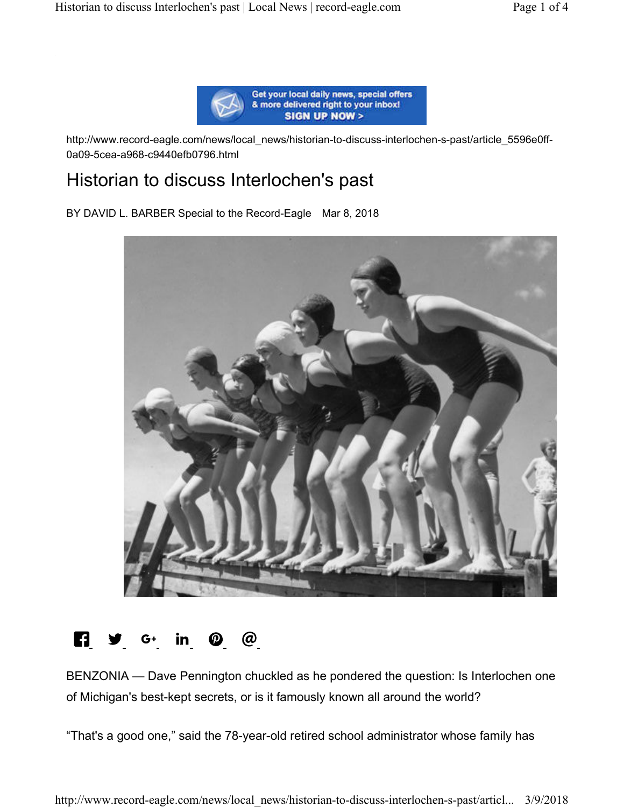

http://www.record-eagle.com/news/local\_news/historian-to-discuss-interlochen-s-past/article\_5596e0ff-0a09-5cea-a968-c9440efb0796.html

# Historian to discuss Interlochen's past

BY DAVID L. BARBER Special to the Record-Eagle Mar 8, 2018



# $\blacksquare$   $\blacksquare$   $\blacksquare$   $\blacksquare$   $\blacksquare$   $\blacksquare$   $\blacksquare$   $\blacksquare$   $\blacksquare$   $\blacksquare$   $\blacksquare$   $\blacksquare$   $\blacksquare$   $\blacksquare$   $\blacksquare$   $\blacksquare$   $\blacksquare$   $\blacksquare$   $\blacksquare$   $\blacksquare$   $\blacksquare$   $\blacksquare$   $\blacksquare$   $\blacksquare$   $\blacksquare$   $\blacksquare$   $\blacksquare$   $\blacksquare$   $\blacksquare$   $\blacksquare$   $\blacksquare$   $\blacks$

BENZONIA — Dave Pennington chuckled as he pondered the question: Is Interlochen one of Michigan's best-kept secrets, or is it famously known all around the world?

"That's a good one," said the 78-year-old retired school administrator whose family has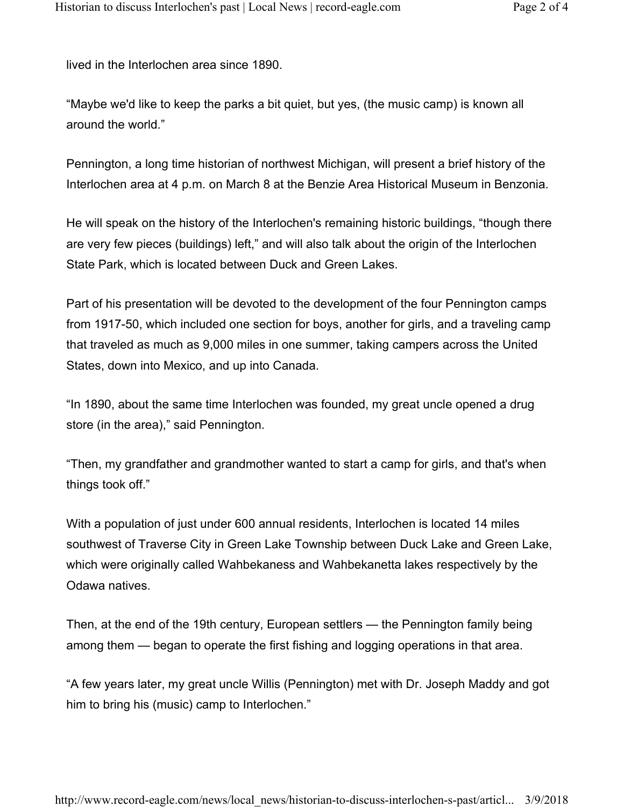lived in the Interlochen area since 1890.

"Maybe we'd like to keep the parks a bit quiet, but yes, (the music camp) is known all around the world."

Pennington, a long time historian of northwest Michigan, will present a brief history of the Interlochen area at 4 p.m. on March 8 at the Benzie Area Historical Museum in Benzonia.

He will speak on the history of the Interlochen's remaining historic buildings, "though there are very few pieces (buildings) left," and will also talk about the origin of the Interlochen State Park, which is located between Duck and Green Lakes.

Part of his presentation will be devoted to the development of the four Pennington camps from 1917-50, which included one section for boys, another for girls, and a traveling camp that traveled as much as 9,000 miles in one summer, taking campers across the United States, down into Mexico, and up into Canada.

"In 1890, about the same time Interlochen was founded, my great uncle opened a drug store (in the area)," said Pennington.

"Then, my grandfather and grandmother wanted to start a camp for girls, and that's when things took off."

With a population of just under 600 annual residents, Interlochen is located 14 miles southwest of Traverse City in Green Lake Township between Duck Lake and Green Lake, which were originally called Wahbekaness and Wahbekanetta lakes respectively by the Odawa natives.

Then, at the end of the 19th century, European settlers — the Pennington family being among them — began to operate the first fishing and logging operations in that area.

"A few years later, my great uncle Willis (Pennington) met with Dr. Joseph Maddy and got him to bring his (music) camp to Interlochen."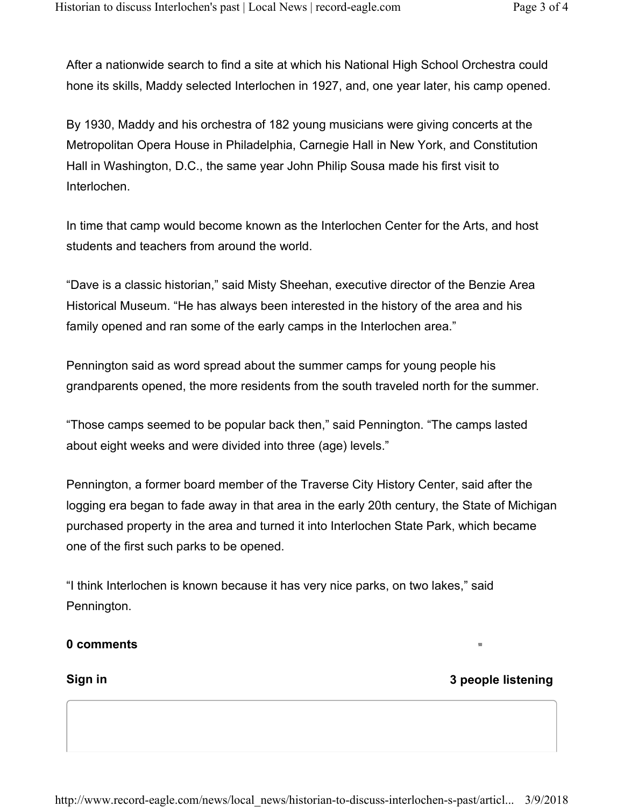After a nationwide search to find a site at which his National High School Orchestra could hone its skills, Maddy selected Interlochen in 1927, and, one year later, his camp opened.

By 1930, Maddy and his orchestra of 182 young musicians were giving concerts at the Metropolitan Opera House in Philadelphia, Carnegie Hall in New York, and Constitution Hall in Washington, D.C., the same year John Philip Sousa made his first visit to Interlochen.

In time that camp would become known as the Interlochen Center for the Arts, and host students and teachers from around the world.

"Dave is a classic historian," said Misty Sheehan, executive director of the Benzie Area Historical Museum. "He has always been interested in the history of the area and his family opened and ran some of the early camps in the Interlochen area."

Pennington said as word spread about the summer camps for young people his grandparents opened, the more residents from the south traveled north for the summer.

"Those camps seemed to be popular back then," said Pennington. "The camps lasted about eight weeks and were divided into three (age) levels."

Pennington, a former board member of the Traverse City History Center, said after the logging era began to fade away in that area in the early 20th century, the State of Michigan purchased property in the area and turned it into Interlochen State Park, which became one of the first such parks to be opened.

"I think Interlochen is known because it has very nice parks, on two lakes," said Pennington.

### **0 comments**

**Sign in 3 people listening**